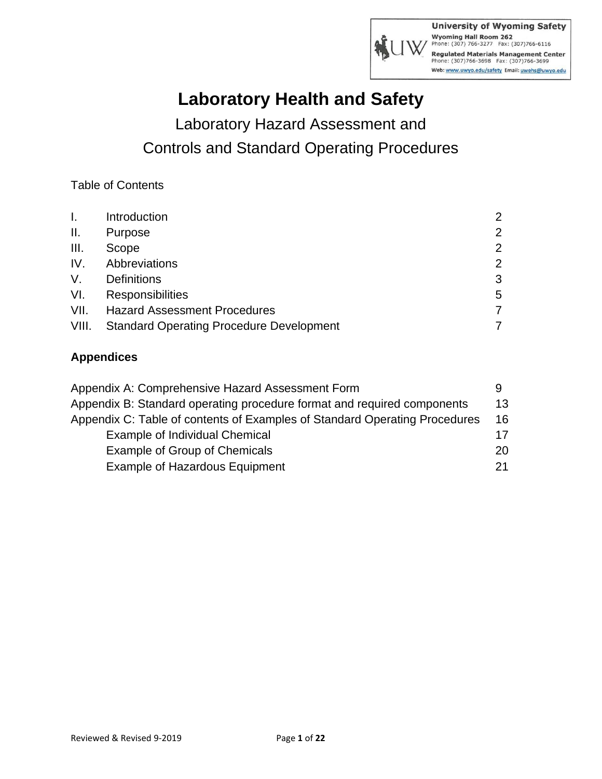

# **Laboratory Health and Safety**

Laboratory Hazard Assessment and Controls and Standard Operating Procedures

Table of Contents

| L.              | Introduction                                    | $\mathcal{P}$  |
|-----------------|-------------------------------------------------|----------------|
| $\mathbf{II}$ . | Purpose                                         | 2              |
| III.            | Scope                                           | $\overline{2}$ |
| IV.             | Abbreviations                                   | $\overline{2}$ |
| V.              | <b>Definitions</b>                              | 3              |
| VI.             | <b>Responsibilities</b>                         | 5              |
| VII.            | <b>Hazard Assessment Procedures</b>             |                |
| VIII.           | <b>Standard Operating Procedure Development</b> |                |

### **Appendices**

| Appendix A: Comprehensive Hazard Assessment Form                           |    |
|----------------------------------------------------------------------------|----|
| Appendix B: Standard operating procedure format and required components    | 13 |
| Appendix C: Table of contents of Examples of Standard Operating Procedures | 16 |
| Example of Individual Chemical                                             | 17 |
| Example of Group of Chemicals                                              | 20 |
| <b>Example of Hazardous Equipment</b>                                      | 21 |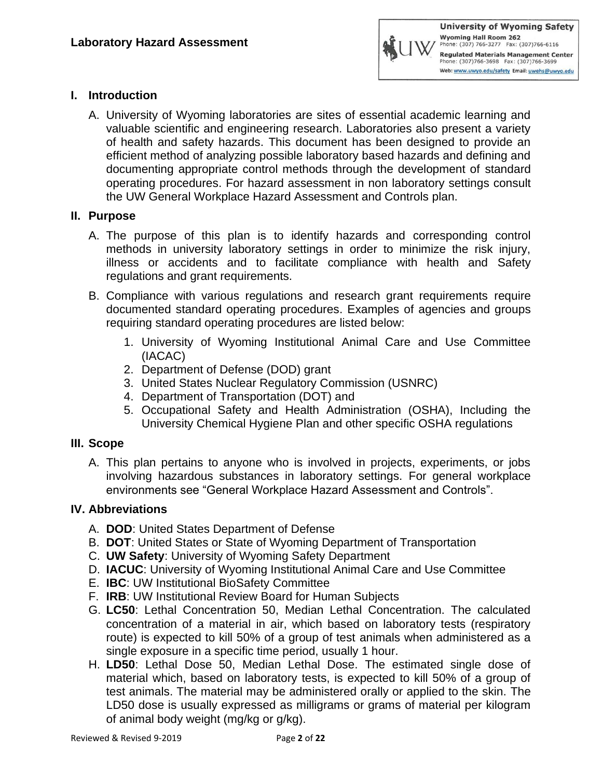

### **I. Introduction**

A. University of Wyoming laboratories are sites of essential academic learning and valuable scientific and engineering research. Laboratories also present a variety of health and safety hazards. This document has been designed to provide an efficient method of analyzing possible laboratory based hazards and defining and documenting appropriate control methods through the development of standard operating procedures. For hazard assessment in non laboratory settings consult the UW General Workplace Hazard Assessment and Controls plan.

### **II. Purpose**

- A. The purpose of this plan is to identify hazards and corresponding control methods in university laboratory settings in order to minimize the risk injury, illness or accidents and to facilitate compliance with health and Safety regulations and grant requirements.
- B. Compliance with various regulations and research grant requirements require documented standard operating procedures. Examples of agencies and groups requiring standard operating procedures are listed below:
	- 1. University of Wyoming Institutional Animal Care and Use Committee (IACAC)
	- 2. Department of Defense (DOD) grant
	- 3. United States Nuclear Regulatory Commission (USNRC)
	- 4. Department of Transportation (DOT) and
	- 5. Occupational Safety and Health Administration (OSHA), Including the University Chemical Hygiene Plan and other specific OSHA regulations

### **III. Scope**

A. This plan pertains to anyone who is involved in projects, experiments, or jobs involving hazardous substances in laboratory settings. For general workplace environments see "General Workplace Hazard Assessment and Controls".

### **IV. Abbreviations**

- A. **DOD**: United States Department of Defense
- B. **DOT**: United States or State of Wyoming Department of Transportation
- C. **UW Safety**: University of Wyoming Safety Department
- D. **IACUC**: University of Wyoming Institutional Animal Care and Use Committee
- E. **IBC**: UW Institutional BioSafety Committee
- F. **IRB**: UW Institutional Review Board for Human Subjects
- G. **LC50**: Lethal Concentration 50, Median Lethal Concentration. The calculated concentration of a material in air, which based on laboratory tests (respiratory route) is expected to kill 50% of a group of test animals when administered as a single exposure in a specific time period, usually 1 hour.
- H. **LD50**: Lethal Dose 50, Median Lethal Dose. The estimated single dose of material which, based on laboratory tests, is expected to kill 50% of a group of test animals. The material may be administered orally or applied to the skin. The LD50 dose is usually expressed as milligrams or grams of material per kilogram of animal body weight (mg/kg or g/kg).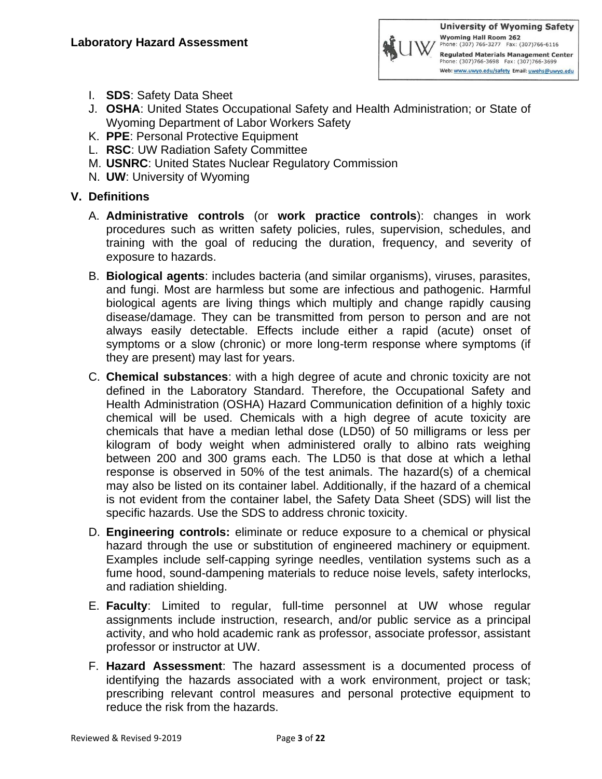- I. **SDS**: Safety Data Sheet
- J. **OSHA**: United States Occupational Safety and Health Administration; or State of Wyoming Department of Labor Workers Safety
- K. **PPE**: Personal Protective Equipment
- L. **RSC**: UW Radiation Safety Committee
- M. **USNRC**: United States Nuclear Regulatory Commission
- N. **UW**: University of Wyoming

### **V. Definitions**

- A. **Administrative controls** (or **work practice controls**): changes in work procedures such as written safety policies, rules, supervision, schedules, and training with the goal of reducing the duration, frequency, and severity of exposure to hazards.
- B. **Biological agents**: includes bacteria (and similar organisms), viruses, parasites, and fungi. Most are harmless but some are infectious and pathogenic. Harmful biological agents are living things which multiply and change rapidly causing disease/damage. They can be transmitted from person to person and are not always easily detectable. Effects include either a rapid (acute) onset of symptoms or a slow (chronic) or more long-term response where symptoms (if they are present) may last for years.
- C. **Chemical substances**: with a high degree of acute and chronic toxicity are not defined in the Laboratory Standard. Therefore, the Occupational Safety and Health Administration (OSHA) Hazard Communication definition of a highly toxic chemical will be used. Chemicals with a high degree of acute toxicity are chemicals that have a median lethal dose (LD50) of 50 milligrams or less per kilogram of body weight when administered orally to albino rats weighing between 200 and 300 grams each. The LD50 is that dose at which a lethal response is observed in 50% of the test animals. The hazard(s) of a chemical may also be listed on its container label. Additionally, if the hazard of a chemical is not evident from the container label, the Safety Data Sheet (SDS) will list the specific hazards. Use the SDS to address chronic toxicity.
- D. **Engineering controls:** eliminate or reduce exposure to a chemical or physical hazard through the use or substitution of engineered machinery or equipment. Examples include self-capping syringe needles, ventilation systems such as a fume hood, sound-dampening materials to reduce noise levels, safety interlocks, and radiation shielding.
- E. **Faculty**: Limited to regular, full-time personnel at UW whose regular assignments include instruction, research, and/or public service as a principal activity, and who hold academic rank as professor, associate professor, assistant professor or instructor at UW.
- F. **Hazard Assessment**: The hazard assessment is a documented process of identifying the hazards associated with a work environment, project or task; prescribing relevant control measures and personal protective equipment to reduce the risk from the hazards.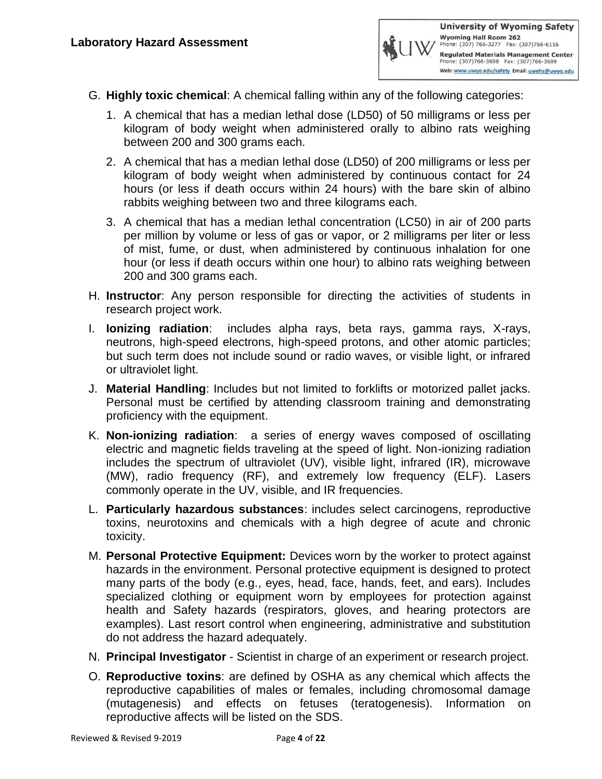- G. **Highly toxic chemical**: A chemical falling within any of the following categories:
	- 1. A chemical that has a median lethal dose (LD50) of 50 milligrams or less per kilogram of body weight when administered orally to albino rats weighing between 200 and 300 grams each.
	- 2. A chemical that has a median lethal dose (LD50) of 200 milligrams or less per kilogram of body weight when administered by continuous contact for 24 hours (or less if death occurs within 24 hours) with the bare skin of albino rabbits weighing between two and three kilograms each.
	- 3. A chemical that has a median lethal concentration (LC50) in air of 200 parts per million by volume or less of gas or vapor, or 2 milligrams per liter or less of mist, fume, or dust, when administered by continuous inhalation for one hour (or less if death occurs within one hour) to albino rats weighing between 200 and 300 grams each.
- H. **Instructor**: Any person responsible for directing the activities of students in research project work.
- I. **Ionizing radiation**: includes alpha rays, beta rays, gamma rays, X-rays, neutrons, high-speed electrons, high-speed protons, and other atomic particles; but such term does not include sound or radio waves, or visible light, or infrared or ultraviolet light.
- J. **Material Handling**: Includes but not limited to forklifts or motorized pallet jacks. Personal must be certified by attending classroom training and demonstrating proficiency with the equipment.
- K. **Non-ionizing radiation**: a series of energy waves composed of oscillating electric and magnetic fields traveling at the speed of light. Non-ionizing radiation includes the spectrum of ultraviolet (UV), visible light, infrared (IR), microwave (MW), radio frequency (RF), and extremely low frequency (ELF). Lasers commonly operate in the UV, visible, and IR frequencies.
- L. **Particularly hazardous substances**: includes select carcinogens, reproductive toxins, neurotoxins and chemicals with a high degree of acute and chronic toxicity.
- M. **Personal Protective Equipment:** Devices worn by the worker to protect against hazards in the environment. Personal protective equipment is designed to protect many parts of the body (e.g., eyes, head, face, hands, feet, and ears). Includes specialized clothing or equipment worn by employees for protection against health and Safety hazards (respirators, gloves, and hearing protectors are examples). Last resort control when engineering, administrative and substitution do not address the hazard adequately.
- N. **Principal Investigator** Scientist in charge of an experiment or research project.
- O. **Reproductive toxins**: are defined by OSHA as any chemical which affects the reproductive capabilities of males or females, including chromosomal damage (mutagenesis) and effects on fetuses (teratogenesis). Information on reproductive affects will be listed on the SDS.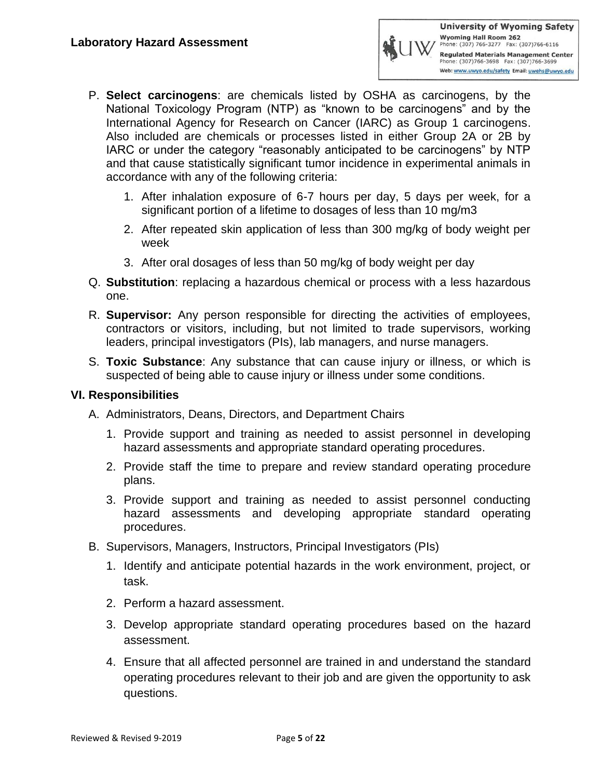- P. **Select carcinogens**: are chemicals listed by OSHA as carcinogens, by the National Toxicology Program (NTP) as "known to be carcinogens" and by the International Agency for Research on Cancer (IARC) as Group 1 carcinogens. Also included are chemicals or processes listed in either Group 2A or 2B by IARC or under the category "reasonably anticipated to be carcinogens" by NTP and that cause statistically significant tumor incidence in experimental animals in accordance with any of the following criteria:
	- 1. After inhalation exposure of 6-7 hours per day, 5 days per week, for a significant portion of a lifetime to dosages of less than 10 mg/m3
	- 2. After repeated skin application of less than 300 mg/kg of body weight per week
	- 3. After oral dosages of less than 50 mg/kg of body weight per day
- Q. **Substitution**: replacing a hazardous chemical or process with a less hazardous one.
- R. **Supervisor:** Any person responsible for directing the activities of employees, contractors or visitors, including, but not limited to trade supervisors, working leaders, principal investigators (PIs), lab managers, and nurse managers.
- S. **Toxic Substance**: Any substance that can cause injury or illness, or which is suspected of being able to cause injury or illness under some conditions.

### **VI. Responsibilities**

- A. Administrators, Deans, Directors, and Department Chairs
	- 1. Provide support and training as needed to assist personnel in developing hazard assessments and appropriate standard operating procedures.
	- 2. Provide staff the time to prepare and review standard operating procedure plans.
	- 3. Provide support and training as needed to assist personnel conducting hazard assessments and developing appropriate standard operating procedures.
- B. Supervisors, Managers, Instructors, Principal Investigators (PIs)
	- 1. Identify and anticipate potential hazards in the work environment, project, or task.
	- 2. Perform a hazard assessment.
	- 3. Develop appropriate standard operating procedures based on the hazard assessment.
	- 4. Ensure that all affected personnel are trained in and understand the standard operating procedures relevant to their job and are given the opportunity to ask questions.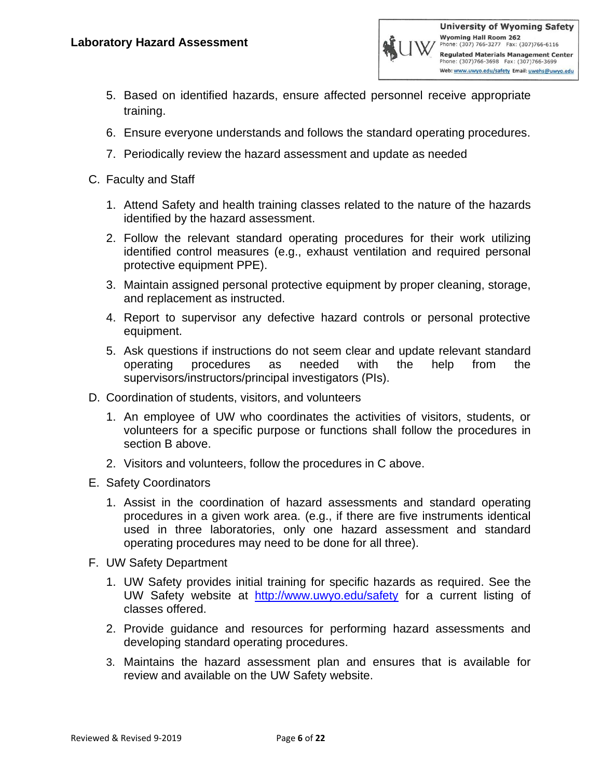

- 5. Based on identified hazards, ensure affected personnel receive appropriate training.
- 6. Ensure everyone understands and follows the standard operating procedures.
- 7. Periodically review the hazard assessment and update as needed
- C. Faculty and Staff
	- 1. Attend Safety and health training classes related to the nature of the hazards identified by the hazard assessment.
	- 2. Follow the relevant standard operating procedures for their work utilizing identified control measures (e.g., exhaust ventilation and required personal protective equipment PPE).
	- 3. Maintain assigned personal protective equipment by proper cleaning, storage, and replacement as instructed.
	- 4. Report to supervisor any defective hazard controls or personal protective equipment.
	- 5. Ask questions if instructions do not seem clear and update relevant standard operating procedures as needed with the help from the supervisors/instructors/principal investigators (PIs).
- D. Coordination of students, visitors, and volunteers
	- 1. An employee of UW who coordinates the activities of visitors, students, or volunteers for a specific purpose or functions shall follow the procedures in section B above.
	- 2. Visitors and volunteers, follow the procedures in C above.
- E. Safety Coordinators
	- 1. Assist in the coordination of hazard assessments and standard operating procedures in a given work area. (e.g., if there are five instruments identical used in three laboratories, only one hazard assessment and standard operating procedures may need to be done for all three).
- F. UW Safety Department
	- 1. UW Safety provides initial training for specific hazards as required. See the UW Safety website at <http://www.uwyo.edu/safety> for a current listing of classes offered.
	- 2. Provide guidance and resources for performing hazard assessments and developing standard operating procedures.
	- 3. Maintains the hazard assessment plan and ensures that is available for review and available on the UW Safety website.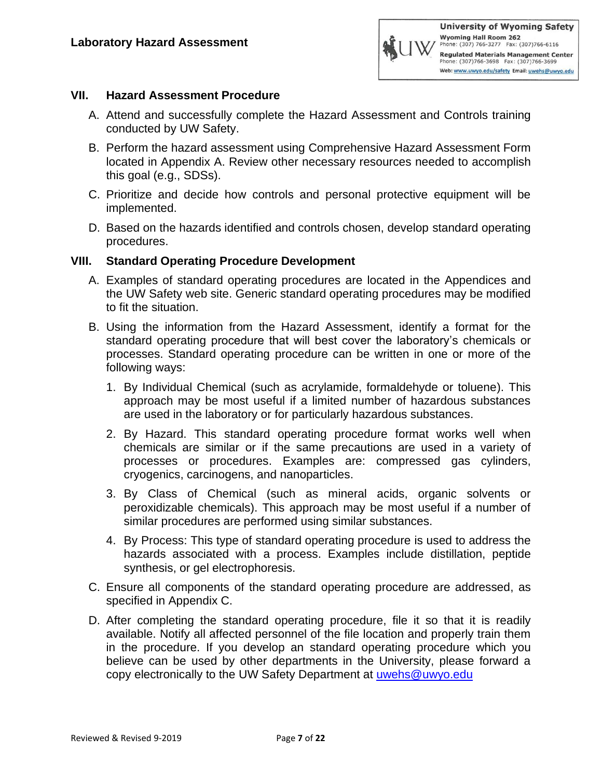### **VII. Hazard Assessment Procedure**

- A. Attend and successfully complete the Hazard Assessment and Controls training conducted by UW Safety.
- B. Perform the hazard assessment using Comprehensive Hazard Assessment Form located in Appendix A. Review other necessary resources needed to accomplish this goal (e.g., SDSs).
- C. Prioritize and decide how controls and personal protective equipment will be implemented.
- D. Based on the hazards identified and controls chosen, develop standard operating procedures.

### **VIII. Standard Operating Procedure Development**

- A. Examples of standard operating procedures are located in the Appendices and the UW Safety web site. Generic standard operating procedures may be modified to fit the situation.
- B. Using the information from the Hazard Assessment, identify a format for the standard operating procedure that will best cover the laboratory's chemicals or processes. Standard operating procedure can be written in one or more of the following ways:
	- 1. By Individual Chemical (such as acrylamide, formaldehyde or toluene). This approach may be most useful if a limited number of hazardous substances are used in the laboratory or for particularly hazardous substances.
	- 2. By Hazard. This standard operating procedure format works well when chemicals are similar or if the same precautions are used in a variety of processes or procedures. Examples are: compressed gas cylinders, cryogenics, carcinogens, and nanoparticles.
	- 3. By Class of Chemical (such as mineral acids, organic solvents or peroxidizable chemicals). This approach may be most useful if a number of similar procedures are performed using similar substances.
	- 4. By Process: This type of standard operating procedure is used to address the hazards associated with a process. Examples include distillation, peptide synthesis, or gel electrophoresis.
- C. Ensure all components of the standard operating procedure are addressed, as specified in Appendix C.
- D. After completing the standard operating procedure, file it so that it is readily available. Notify all affected personnel of the file location and properly train them in the procedure. If you develop an standard operating procedure which you believe can be used by other departments in the University, please forward a copy electronically to the UW Safety Department at [uwehs@uwyo.edu](mailto:uwehs@uwyo.edu)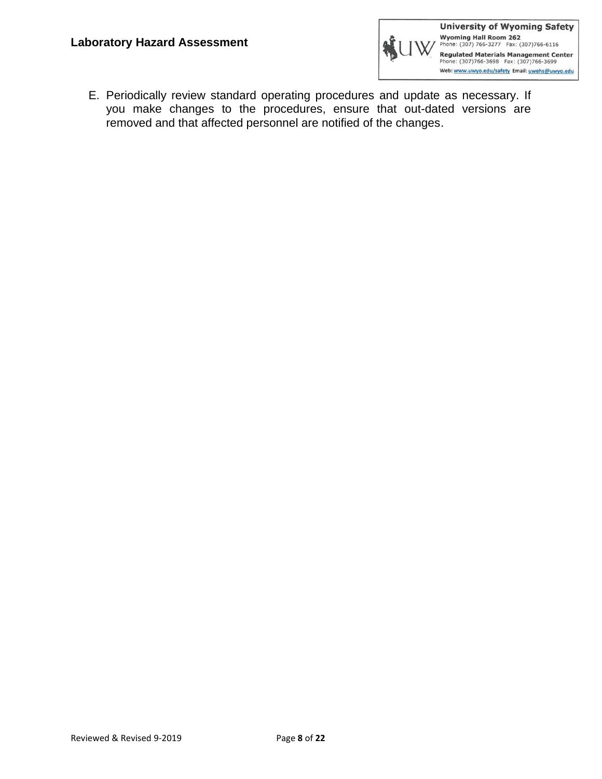

E. Periodically review standard operating procedures and update as necessary. If you make changes to the procedures, ensure that out-dated versions are removed and that affected personnel are notified of the changes.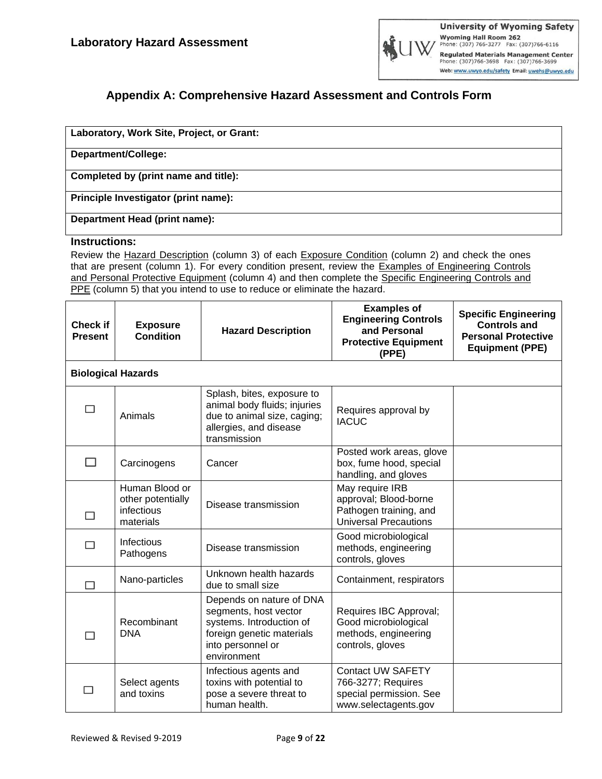

### **Appendix A: Comprehensive Hazard Assessment and Controls Form**

| Laboratory, Work Site, Project, or Grant: |  |
|-------------------------------------------|--|
| Department/College:                       |  |
| Completed by (print name and title):      |  |
| Principle Investigator (print name):      |  |
| Department Head (print name):             |  |

#### **Instructions:**

Review the Hazard Description (column 3) of each Exposure Condition (column 2) and check the ones that are present (column 1). For every condition present, review the Examples of Engineering Controls and Personal Protective Equipment (column 4) and then complete the Specific Engineering Controls and PPE (column 5) that you intend to use to reduce or eliminate the hazard.

| <b>Check if</b><br><b>Present</b> | <b>Exposure</b><br><b>Condition</b>                            | <b>Hazard Description</b>                                                                                                                      | <b>Examples of</b><br><b>Engineering Controls</b><br>and Personal<br><b>Protective Equipment</b><br>(PPE) | <b>Specific Engineering</b><br><b>Controls and</b><br><b>Personal Protective</b><br><b>Equipment (PPE)</b> |
|-----------------------------------|----------------------------------------------------------------|------------------------------------------------------------------------------------------------------------------------------------------------|-----------------------------------------------------------------------------------------------------------|------------------------------------------------------------------------------------------------------------|
|                                   | <b>Biological Hazards</b>                                      |                                                                                                                                                |                                                                                                           |                                                                                                            |
| П                                 | Animals                                                        | Splash, bites, exposure to<br>animal body fluids; injuries<br>due to animal size, caging;<br>allergies, and disease<br>transmission            | Requires approval by<br><b>IACUC</b>                                                                      |                                                                                                            |
| □                                 | Carcinogens                                                    | Cancer                                                                                                                                         | Posted work areas, glove<br>box, fume hood, special<br>handling, and gloves                               |                                                                                                            |
| □                                 | Human Blood or<br>other potentially<br>infectious<br>materials | Disease transmission                                                                                                                           | May require IRB<br>approval; Blood-borne<br>Pathogen training, and<br><b>Universal Precautions</b>        |                                                                                                            |
| П                                 | <b>Infectious</b><br>Pathogens                                 | Disease transmission                                                                                                                           | Good microbiological<br>methods, engineering<br>controls, gloves                                          |                                                                                                            |
| П                                 | Nano-particles                                                 | Unknown health hazards<br>due to small size                                                                                                    | Containment, respirators                                                                                  |                                                                                                            |
| □                                 | Recombinant<br><b>DNA</b>                                      | Depends on nature of DNA<br>segments, host vector<br>systems. Introduction of<br>foreign genetic materials<br>into personnel or<br>environment | Requires IBC Approval;<br>Good microbiological<br>methods, engineering<br>controls, gloves                |                                                                                                            |
|                                   | Select agents<br>and toxins                                    | Infectious agents and<br>toxins with potential to<br>pose a severe threat to<br>human health.                                                  | <b>Contact UW SAFETY</b><br>766-3277; Requires<br>special permission. See<br>www.selectagents.gov         |                                                                                                            |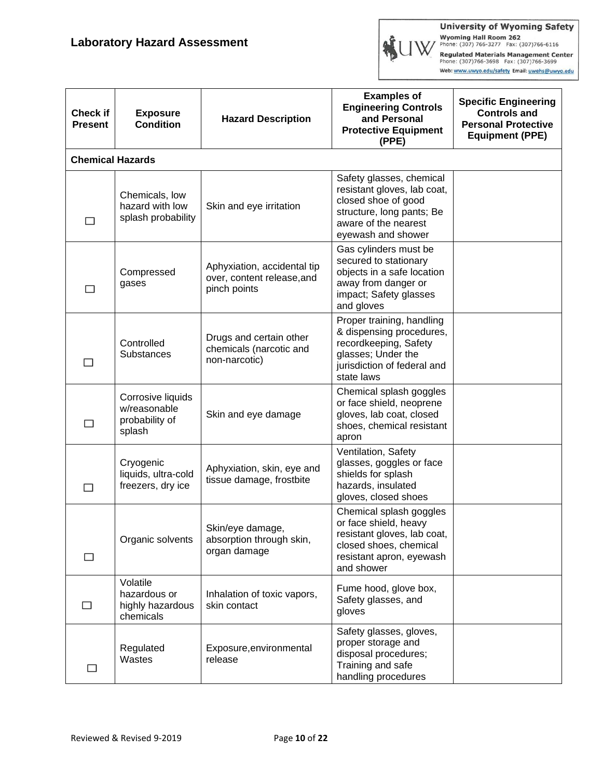**University of Wyoming Safety** Wyoming Hall Room 262<br>Phone: (307) 766-3277 Fax: (307)766-6116<br>Regulated Materials Management Center<br>Phone: (307)766-3698 Fax: (307)766-3699

Web: www.uwyo.edu/safety Email: uwehs@uwyo.edu

| <b>Check if</b><br><b>Present</b> | <b>Exposure</b><br><b>Condition</b>                           | <b>Hazard Description</b>                                                 | <b>Examples of</b><br><b>Engineering Controls</b><br>and Personal<br><b>Protective Equipment</b><br>(PPE)                                                 | <b>Specific Engineering</b><br><b>Controls and</b><br><b>Personal Protective</b><br><b>Equipment (PPE)</b> |
|-----------------------------------|---------------------------------------------------------------|---------------------------------------------------------------------------|-----------------------------------------------------------------------------------------------------------------------------------------------------------|------------------------------------------------------------------------------------------------------------|
| <b>Chemical Hazards</b>           |                                                               |                                                                           |                                                                                                                                                           |                                                                                                            |
| ⊓                                 | Chemicals, low<br>hazard with low<br>splash probability       | Skin and eye irritation                                                   | Safety glasses, chemical<br>resistant gloves, lab coat,<br>closed shoe of good<br>structure, long pants; Be<br>aware of the nearest<br>eyewash and shower |                                                                                                            |
| □                                 | Compressed<br>gases                                           | Aphyxiation, accidental tip<br>over, content release, and<br>pinch points | Gas cylinders must be<br>secured to stationary<br>objects in a safe location<br>away from danger or<br>impact; Safety glasses<br>and gloves               |                                                                                                            |
| П                                 | Controlled<br>Substances                                      | Drugs and certain other<br>chemicals (narcotic and<br>non-narcotic)       | Proper training, handling<br>& dispensing procedures,<br>recordkeeping, Safety<br>glasses; Under the<br>jurisdiction of federal and<br>state laws         |                                                                                                            |
| □                                 | Corrosive liquids<br>w/reasonable<br>probability of<br>splash | Skin and eye damage                                                       | Chemical splash goggles<br>or face shield, neoprene<br>gloves, lab coat, closed<br>shoes, chemical resistant<br>apron                                     |                                                                                                            |
| П                                 | Cryogenic<br>liquids, ultra-cold<br>freezers, dry ice         | Aphyxiation, skin, eye and<br>tissue damage, frostbite                    | Ventilation, Safety<br>glasses, goggles or face<br>shields for splash<br>hazards, insulated<br>gloves, closed shoes                                       |                                                                                                            |
| □                                 | Organic solvents                                              | Skin/eye damage,<br>absorption through skin,<br>organ damage              | Chemical splash goggles<br>or face shield, heavy<br>resistant gloves, lab coat,<br>closed shoes, chemical<br>resistant apron, eyewash<br>and shower       |                                                                                                            |
|                                   | Volatile<br>hazardous or<br>highly hazardous<br>chemicals     | Inhalation of toxic vapors,<br>skin contact                               | Fume hood, glove box,<br>Safety glasses, and<br>gloves                                                                                                    |                                                                                                            |
| ⊔                                 | Regulated<br>Wastes                                           | Exposure, environmental<br>release                                        | Safety glasses, gloves,<br>proper storage and<br>disposal procedures;<br>Training and safe<br>handling procedures                                         |                                                                                                            |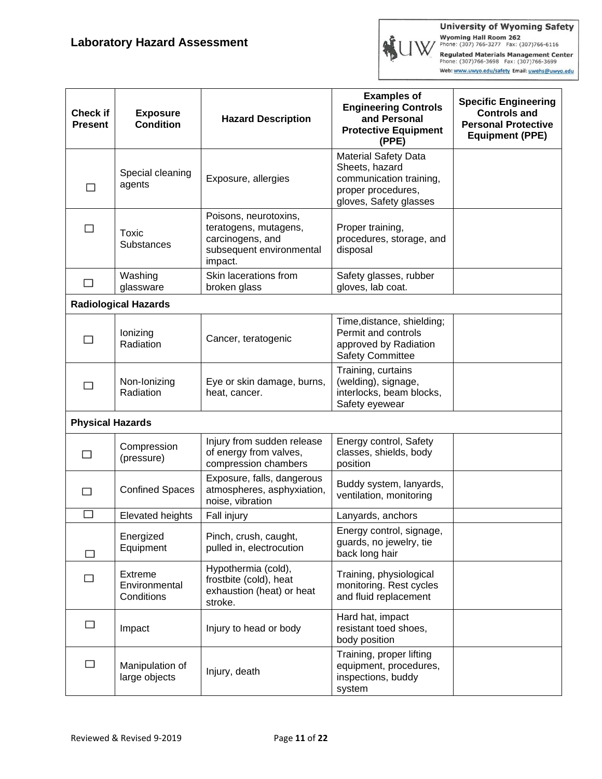

| <b>Check if</b><br><b>Present</b> | <b>Exposure</b><br><b>Condition</b>           | <b>Hazard Description</b>                                                                                 | <b>Examples of</b><br><b>Engineering Controls</b><br>and Personal<br><b>Protective Equipment</b><br>(PPE)                | <b>Specific Engineering</b><br><b>Controls and</b><br><b>Personal Protective</b><br><b>Equipment (PPE)</b> |
|-----------------------------------|-----------------------------------------------|-----------------------------------------------------------------------------------------------------------|--------------------------------------------------------------------------------------------------------------------------|------------------------------------------------------------------------------------------------------------|
| П                                 | Special cleaning<br>agents                    | Exposure, allergies                                                                                       | <b>Material Safety Data</b><br>Sheets, hazard<br>communication training,<br>proper procedures,<br>gloves, Safety glasses |                                                                                                            |
| П                                 | Toxic<br>Substances                           | Poisons, neurotoxins,<br>teratogens, mutagens,<br>carcinogens, and<br>subsequent environmental<br>impact. | Proper training,<br>procedures, storage, and<br>disposal                                                                 |                                                                                                            |
| □                                 | Washing<br>glassware                          | Skin lacerations from<br>broken glass                                                                     | Safety glasses, rubber<br>gloves, lab coat.                                                                              |                                                                                                            |
|                                   | <b>Radiological Hazards</b>                   |                                                                                                           |                                                                                                                          |                                                                                                            |
| □                                 | lonizing<br>Radiation                         | Cancer, teratogenic                                                                                       | Time, distance, shielding;<br>Permit and controls<br>approved by Radiation<br><b>Safety Committee</b>                    |                                                                                                            |
| H                                 | Non-Ionizing<br>Radiation                     | Eye or skin damage, burns,<br>heat, cancer.                                                               | Training, curtains<br>(welding), signage,<br>interlocks, beam blocks,<br>Safety eyewear                                  |                                                                                                            |
| <b>Physical Hazards</b>           |                                               |                                                                                                           |                                                                                                                          |                                                                                                            |
|                                   | Compression<br>(pressure)                     | Injury from sudden release<br>of energy from valves,<br>compression chambers                              | Energy control, Safety<br>classes, shields, body<br>position                                                             |                                                                                                            |
| П                                 | <b>Confined Spaces</b>                        | Exposure, falls, dangerous<br>atmospheres, asphyxiation,<br>noise, vibration                              | Buddy system, lanyards,<br>ventilation, monitoring                                                                       |                                                                                                            |
| □                                 | <b>Elevated heights</b>                       | Fall injury                                                                                               | Lanyards, anchors                                                                                                        |                                                                                                            |
| □                                 | Energized<br>Equipment                        | Pinch, crush, caught,<br>pulled in, electrocution                                                         | Energy control, signage,<br>guards, no jewelry, tie<br>back long hair                                                    |                                                                                                            |
| $\Box$                            | <b>Extreme</b><br>Environmental<br>Conditions | Hypothermia (cold),<br>frostbite (cold), heat<br>exhaustion (heat) or heat<br>stroke.                     | Training, physiological<br>monitoring. Rest cycles<br>and fluid replacement                                              |                                                                                                            |
| □                                 | Impact                                        | Injury to head or body                                                                                    | Hard hat, impact<br>resistant toed shoes,<br>body position                                                               |                                                                                                            |
| □                                 | Manipulation of<br>large objects              | Injury, death                                                                                             | Training, proper lifting<br>equipment, procedures,<br>inspections, buddy<br>system                                       |                                                                                                            |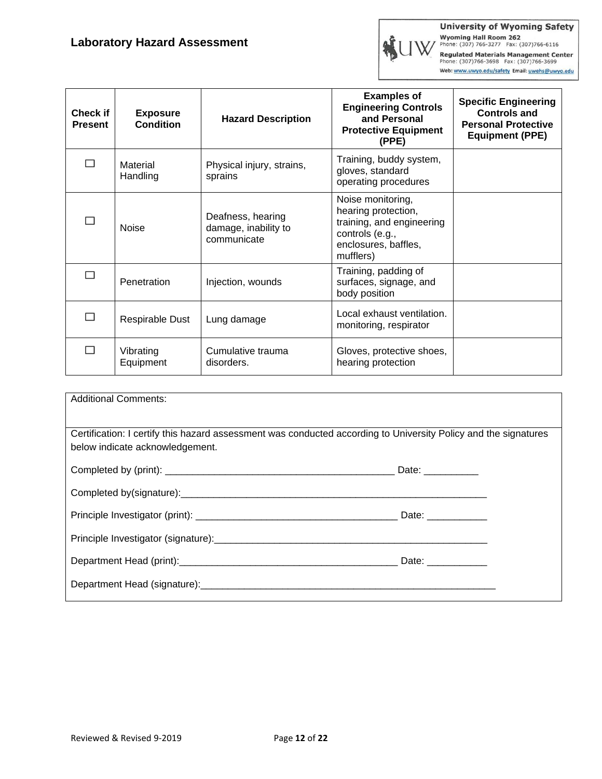

| <b>Check if</b><br><b>Present</b> | <b>Exposure</b><br><b>Condition</b> | <b>Hazard Description</b>                                | <b>Examples of</b><br><b>Engineering Controls</b><br>and Personal<br><b>Protective Equipment</b><br>(PPE)                     | <b>Specific Engineering</b><br><b>Controls and</b><br><b>Personal Protective</b><br><b>Equipment (PPE)</b> |
|-----------------------------------|-------------------------------------|----------------------------------------------------------|-------------------------------------------------------------------------------------------------------------------------------|------------------------------------------------------------------------------------------------------------|
|                                   | Material<br>Handling                | Physical injury, strains,<br>sprains                     | Training, buddy system,<br>gloves, standard<br>operating procedures                                                           |                                                                                                            |
|                                   | <b>Noise</b>                        | Deafness, hearing<br>damage, inability to<br>communicate | Noise monitoring,<br>hearing protection,<br>training, and engineering<br>controls (e.g.,<br>enclosures, baffles,<br>mufflers) |                                                                                                            |
|                                   | Penetration                         | Injection, wounds                                        | Training, padding of<br>surfaces, signage, and<br>body position                                                               |                                                                                                            |
|                                   | Respirable Dust                     | Lung damage                                              | Local exhaust ventilation.<br>monitoring, respirator                                                                          |                                                                                                            |
|                                   | Vibrating<br>Equipment              | Cumulative trauma<br>disorders.                          | Gloves, protective shoes,<br>hearing protection                                                                               |                                                                                                            |

| <b>Additional Comments:</b>                                                                                                                        |                    |
|----------------------------------------------------------------------------------------------------------------------------------------------------|--------------------|
| Certification: I certify this hazard assessment was conducted according to University Policy and the signatures<br>below indicate acknowledgement. |                    |
|                                                                                                                                                    |                    |
|                                                                                                                                                    |                    |
|                                                                                                                                                    | Date: ____________ |
|                                                                                                                                                    |                    |
|                                                                                                                                                    | Date: ____________ |
|                                                                                                                                                    |                    |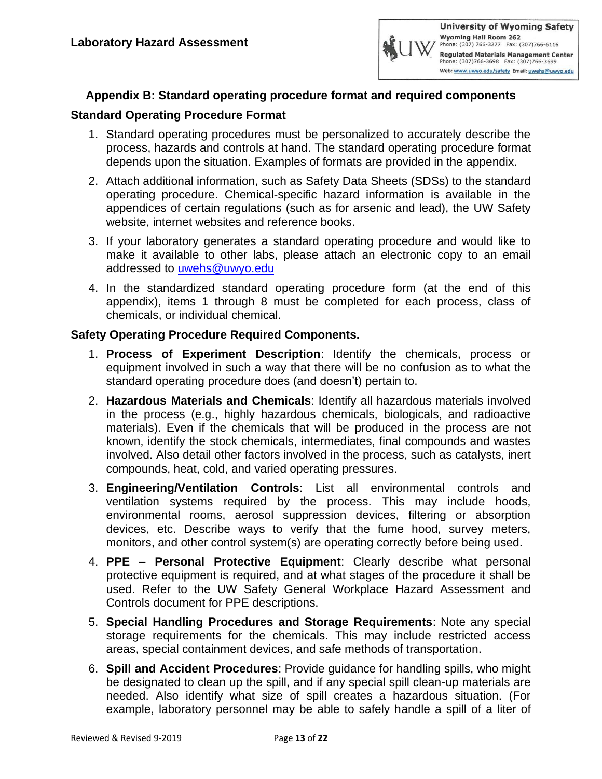

### **Appendix B: Standard operating procedure format and required components**

#### **Standard Operating Procedure Format**

- 1. Standard operating procedures must be personalized to accurately describe the process, hazards and controls at hand. The standard operating procedure format depends upon the situation. Examples of formats are provided in the appendix.
- 2. Attach additional information, such as Safety Data Sheets (SDSs) to the standard operating procedure. Chemical-specific hazard information is available in the appendices of certain regulations (such as for arsenic and lead), the UW Safety website, internet websites and reference books.
- 3. If your laboratory generates a standard operating procedure and would like to make it available to other labs, please attach an electronic copy to an email addressed to [uwehs@uwyo.edu](mailto:uwehs@uwyo.edu)
- 4. In the standardized standard operating procedure form (at the end of this appendix), items 1 through 8 must be completed for each process, class of chemicals, or individual chemical.

#### **Safety Operating Procedure Required Components.**

- 1. **Process of Experiment Description**: Identify the chemicals, process or equipment involved in such a way that there will be no confusion as to what the standard operating procedure does (and doesn't) pertain to.
- 2. **Hazardous Materials and Chemicals**: Identify all hazardous materials involved in the process (e.g., highly hazardous chemicals, biologicals, and radioactive materials). Even if the chemicals that will be produced in the process are not known, identify the stock chemicals, intermediates, final compounds and wastes involved. Also detail other factors involved in the process, such as catalysts, inert compounds, heat, cold, and varied operating pressures.
- 3. **Engineering/Ventilation Controls**: List all environmental controls and ventilation systems required by the process. This may include hoods, environmental rooms, aerosol suppression devices, filtering or absorption devices, etc. Describe ways to verify that the fume hood, survey meters, monitors, and other control system(s) are operating correctly before being used.
- 4. **PPE – Personal Protective Equipment**: Clearly describe what personal protective equipment is required, and at what stages of the procedure it shall be used. Refer to the UW Safety General Workplace Hazard Assessment and Controls document for PPE descriptions.
- 5. **Special Handling Procedures and Storage Requirements**: Note any special storage requirements for the chemicals. This may include restricted access areas, special containment devices, and safe methods of transportation.
- 6. **Spill and Accident Procedures**: Provide guidance for handling spills, who might be designated to clean up the spill, and if any special spill clean-up materials are needed. Also identify what size of spill creates a hazardous situation. (For example, laboratory personnel may be able to safely handle a spill of a liter of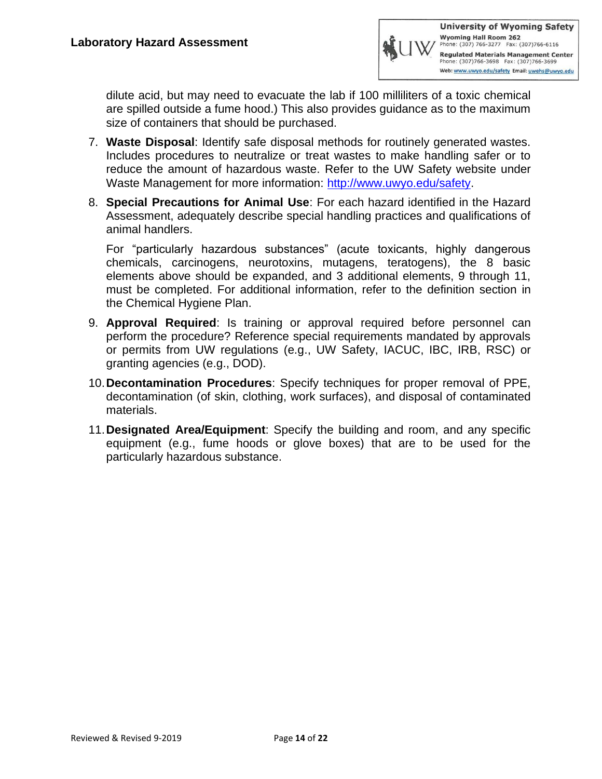

dilute acid, but may need to evacuate the lab if 100 milliliters of a toxic chemical are spilled outside a fume hood.) This also provides guidance as to the maximum size of containers that should be purchased.

- 7. **Waste Disposal**: Identify safe disposal methods for routinely generated wastes. Includes procedures to neutralize or treat wastes to make handling safer or to reduce the amount of hazardous waste. Refer to the UW Safety website under Waste Management for more information: [http://www.uwyo.edu/safety.](http://www.uwyo.edu/safety)
- 8. **Special Precautions for Animal Use**: For each hazard identified in the Hazard Assessment, adequately describe special handling practices and qualifications of animal handlers.

For "particularly hazardous substances" (acute toxicants, highly dangerous chemicals, carcinogens, neurotoxins, mutagens, teratogens), the 8 basic elements above should be expanded, and 3 additional elements, 9 through 11, must be completed. For additional information, refer to the definition section in the Chemical Hygiene Plan.

- 9. **Approval Required**: Is training or approval required before personnel can perform the procedure? Reference special requirements mandated by approvals or permits from UW regulations (e.g., UW Safety, IACUC, IBC, IRB, RSC) or granting agencies (e.g., DOD).
- 10.**Decontamination Procedures**: Specify techniques for proper removal of PPE, decontamination (of skin, clothing, work surfaces), and disposal of contaminated materials.
- 11.**Designated Area/Equipment**: Specify the building and room, and any specific equipment (e.g., fume hoods or glove boxes) that are to be used for the particularly hazardous substance.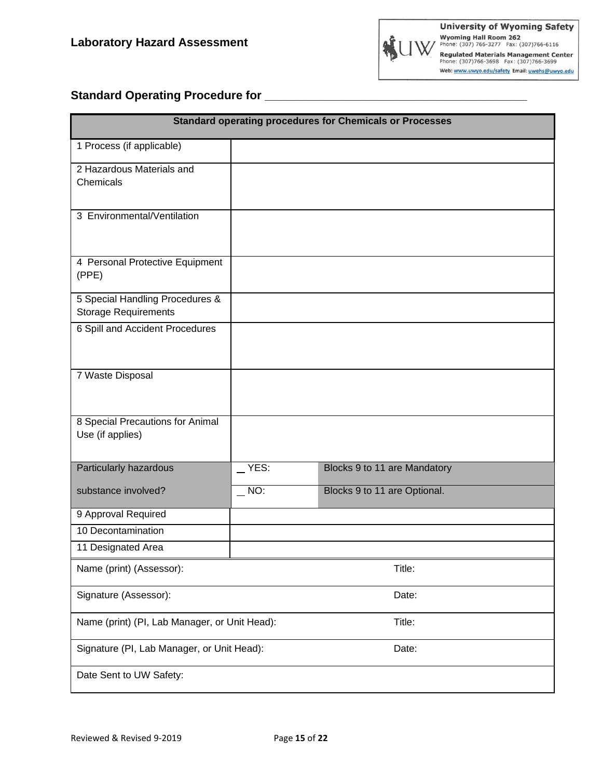# **Standard Operating Procedure for \_\_\_\_\_\_\_\_\_\_\_\_\_\_\_\_\_\_\_\_\_\_\_\_\_\_\_\_\_\_\_\_\_\_\_\_\_\_\_\_**

| <b>Standard operating procedures for Chemicals or Processes</b> |         |                              |  |  |
|-----------------------------------------------------------------|---------|------------------------------|--|--|
| 1 Process (if applicable)                                       |         |                              |  |  |
| 2 Hazardous Materials and<br>Chemicals                          |         |                              |  |  |
| 3 Environmental/Ventilation                                     |         |                              |  |  |
| 4 Personal Protective Equipment<br>(PPE)                        |         |                              |  |  |
| 5 Special Handling Procedures &<br><b>Storage Requirements</b>  |         |                              |  |  |
| 6 Spill and Accident Procedures                                 |         |                              |  |  |
| 7 Waste Disposal                                                |         |                              |  |  |
| 8 Special Precautions for Animal<br>Use (if applies)            |         |                              |  |  |
| Particularly hazardous                                          | $YES$ : | Blocks 9 to 11 are Mandatory |  |  |
| substance involved?                                             | $N$ O:  | Blocks 9 to 11 are Optional. |  |  |
| 9 Approval Required                                             |         |                              |  |  |
| 10 Decontamination                                              |         |                              |  |  |
| 11 Designated Area                                              |         |                              |  |  |
| Name (print) (Assessor):<br>Title:                              |         |                              |  |  |
| Signature (Assessor):                                           | Date:   |                              |  |  |
| Name (print) (PI, Lab Manager, or Unit Head):<br>Title:         |         |                              |  |  |
| Signature (PI, Lab Manager, or Unit Head):<br>Date:             |         |                              |  |  |
| Date Sent to UW Safety:                                         |         |                              |  |  |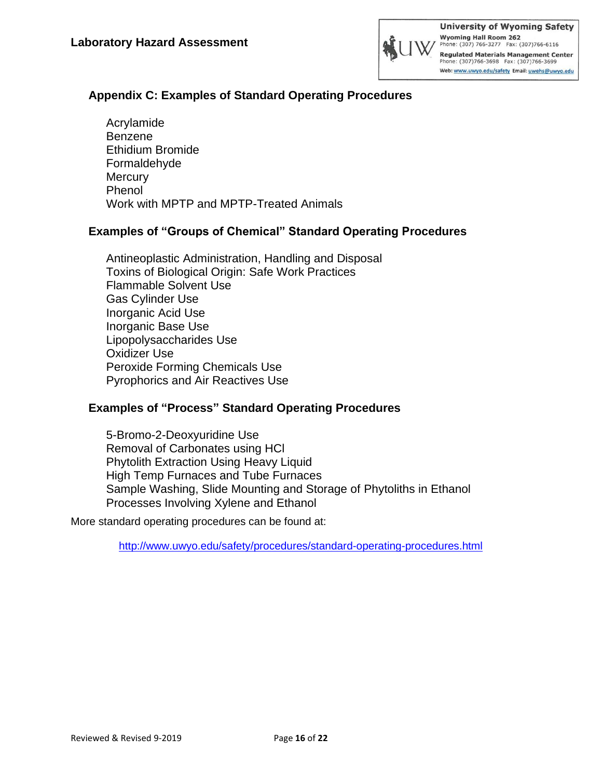

### **Appendix C: Examples of Standard Operating Procedures**

Acrylamide Benzene Ethidium Bromide Formaldehyde **Mercury** Phenol Work with MPTP and MPTP-Treated Animals

### **Examples of "Groups of Chemical" Standard Operating Procedures**

Antineoplastic Administration, Handling and Disposal Toxins of Biological Origin: Safe Work Practices Flammable Solvent Use Gas Cylinder Use Inorganic Acid Use Inorganic Base Use Lipopolysaccharides Use Oxidizer Use Peroxide Forming Chemicals Use Pyrophorics and Air Reactives Use

### **Examples of "Process" Standard Operating Procedures**

5-Bromo-2-Deoxyuridine Use Removal of Carbonates using HCl Phytolith Extraction Using Heavy Liquid High Temp Furnaces and Tube Furnaces Sample Washing, Slide Mounting and Storage of Phytoliths in Ethanol Processes Involving Xylene and Ethanol

More standard operating procedures can be found at:

<http://www.uwyo.edu/safety/procedures/standard-operating-procedures.html>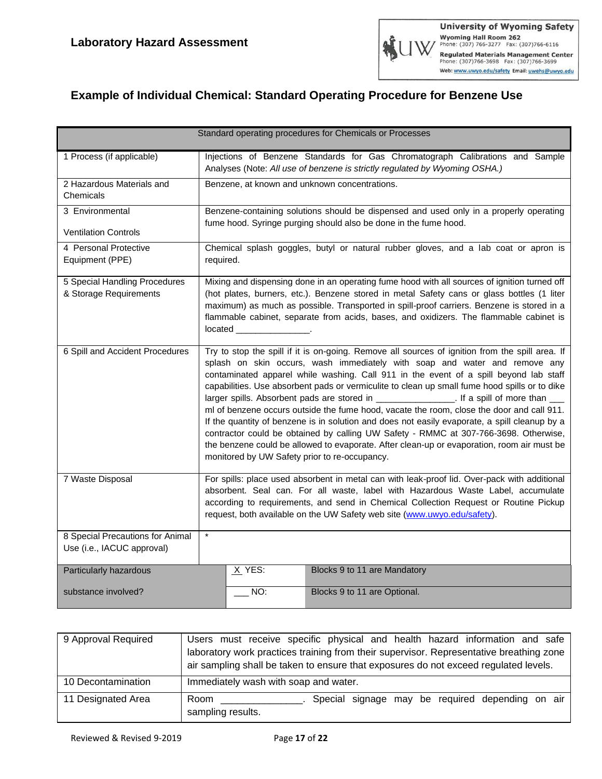# **Example of Individual Chemical: Standard Operating Procedure for Benzene Use**

| Standard operating procedures for Chemicals or Processes                |                                                                                                                                                                                                                                                                                                                                                                                                                                                                                                     |     |                                                                                                                                                                                                                                                                                                                                                                                                                                                                                                                                                                                                                                                                                                                                                                                                                                                                                                               |  |  |
|-------------------------------------------------------------------------|-----------------------------------------------------------------------------------------------------------------------------------------------------------------------------------------------------------------------------------------------------------------------------------------------------------------------------------------------------------------------------------------------------------------------------------------------------------------------------------------------------|-----|---------------------------------------------------------------------------------------------------------------------------------------------------------------------------------------------------------------------------------------------------------------------------------------------------------------------------------------------------------------------------------------------------------------------------------------------------------------------------------------------------------------------------------------------------------------------------------------------------------------------------------------------------------------------------------------------------------------------------------------------------------------------------------------------------------------------------------------------------------------------------------------------------------------|--|--|
| 1 Process (if applicable)                                               | Injections of Benzene Standards for Gas Chromatograph Calibrations and Sample<br>Analyses (Note: All use of benzene is strictly regulated by Wyoming OSHA.)                                                                                                                                                                                                                                                                                                                                         |     |                                                                                                                                                                                                                                                                                                                                                                                                                                                                                                                                                                                                                                                                                                                                                                                                                                                                                                               |  |  |
| 2 Hazardous Materials and<br>Chemicals                                  | Benzene, at known and unknown concentrations.                                                                                                                                                                                                                                                                                                                                                                                                                                                       |     |                                                                                                                                                                                                                                                                                                                                                                                                                                                                                                                                                                                                                                                                                                                                                                                                                                                                                                               |  |  |
| 3 Environmental                                                         |                                                                                                                                                                                                                                                                                                                                                                                                                                                                                                     |     | Benzene-containing solutions should be dispensed and used only in a properly operating<br>fume hood. Syringe purging should also be done in the fume hood.                                                                                                                                                                                                                                                                                                                                                                                                                                                                                                                                                                                                                                                                                                                                                    |  |  |
| <b>Ventilation Controls</b><br>4 Personal Protective<br>Equipment (PPE) | Chemical splash goggles, butyl or natural rubber gloves, and a lab coat or apron is<br>required.                                                                                                                                                                                                                                                                                                                                                                                                    |     |                                                                                                                                                                                                                                                                                                                                                                                                                                                                                                                                                                                                                                                                                                                                                                                                                                                                                                               |  |  |
| 5 Special Handling Procedures<br>& Storage Requirements                 | Mixing and dispensing done in an operating fume hood with all sources of ignition turned off<br>(hot plates, burners, etc.). Benzene stored in metal Safety cans or glass bottles (1 liter<br>maximum) as much as possible. Transported in spill-proof carriers. Benzene is stored in a<br>flammable cabinet, separate from acids, bases, and oxidizers. The flammable cabinet is<br>located results and the set of the set of the set of the set of the set of the set of the set of the set of th |     |                                                                                                                                                                                                                                                                                                                                                                                                                                                                                                                                                                                                                                                                                                                                                                                                                                                                                                               |  |  |
| 6 Spill and Accident Procedures                                         |                                                                                                                                                                                                                                                                                                                                                                                                                                                                                                     |     | Try to stop the spill if it is on-going. Remove all sources of ignition from the spill area. If<br>splash on skin occurs, wash immediately with soap and water and remove any<br>contaminated apparel while washing. Call 911 in the event of a spill beyond lab staff<br>capabilities. Use absorbent pads or vermiculite to clean up small fume hood spills or to dike<br>larger spills. Absorbent pads are stored in ___________________. If a spill of more than ____<br>ml of benzene occurs outside the fume hood, vacate the room, close the door and call 911.<br>If the quantity of benzene is in solution and does not easily evaporate, a spill cleanup by a<br>contractor could be obtained by calling UW Safety - RMMC at 307-766-3698. Otherwise,<br>the benzene could be allowed to evaporate. After clean-up or evaporation, room air must be<br>monitored by UW Safety prior to re-occupancy. |  |  |
| 7 Waste Disposal                                                        | For spills: place used absorbent in metal can with leak-proof lid. Over-pack with additional<br>absorbent. Seal can. For all waste, label with Hazardous Waste Label, accumulate<br>according to requirements, and send in Chemical Collection Request or Routine Pickup<br>request, both available on the UW Safety web site (www.uwyo.edu/safety).                                                                                                                                                |     |                                                                                                                                                                                                                                                                                                                                                                                                                                                                                                                                                                                                                                                                                                                                                                                                                                                                                                               |  |  |
| 8 Special Precautions for Animal<br>Use (i.e., IACUC approval)          | $\star$                                                                                                                                                                                                                                                                                                                                                                                                                                                                                             |     |                                                                                                                                                                                                                                                                                                                                                                                                                                                                                                                                                                                                                                                                                                                                                                                                                                                                                                               |  |  |
| Particularly hazardous                                                  | $X$ YES:<br>Blocks 9 to 11 are Mandatory                                                                                                                                                                                                                                                                                                                                                                                                                                                            |     |                                                                                                                                                                                                                                                                                                                                                                                                                                                                                                                                                                                                                                                                                                                                                                                                                                                                                                               |  |  |
| substance involved?                                                     |                                                                                                                                                                                                                                                                                                                                                                                                                                                                                                     | NO: | Blocks 9 to 11 are Optional.                                                                                                                                                                                                                                                                                                                                                                                                                                                                                                                                                                                                                                                                                                                                                                                                                                                                                  |  |  |

| 9 Approval Required | Users must receive specific physical and health hazard information and safe<br>laboratory work practices training from their supervisor. Representative breathing zone<br>air sampling shall be taken to ensure that exposures do not exceed regulated levels. |
|---------------------|----------------------------------------------------------------------------------------------------------------------------------------------------------------------------------------------------------------------------------------------------------------|
| 10 Decontamination  | Immediately wash with soap and water.                                                                                                                                                                                                                          |
| 11 Designated Area  | Special signage may be required depending on air<br>Room<br>sampling results.                                                                                                                                                                                  |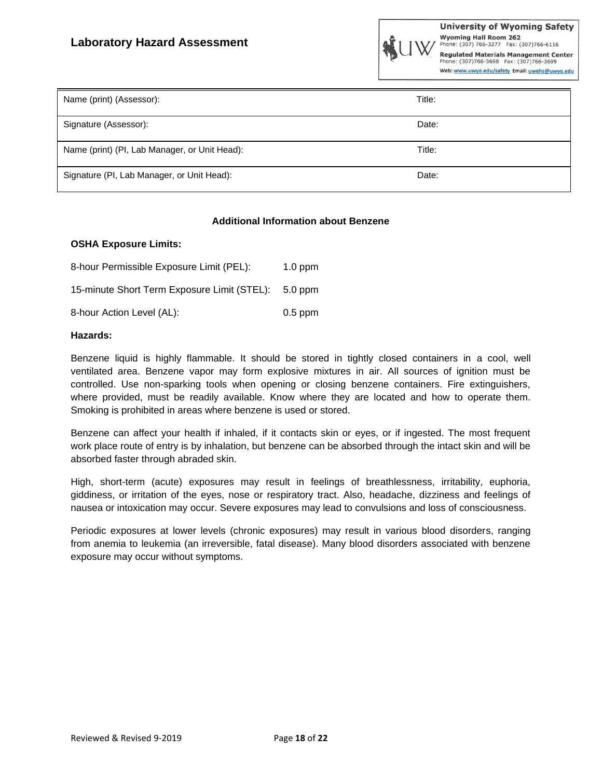| Name (print) (Assessor):                      | Title: |
|-----------------------------------------------|--------|
| Signature (Assessor):                         | Date:  |
| Name (print) (PI, Lab Manager, or Unit Head): | Title: |
| Signature (PI, Lab Manager, or Unit Head):    | Date:  |

#### **Additional Information about Benzene**

#### **OSHA Exposure Limits:**

| 8-hour Permissible Exposure Limit (PEL):    | $1.0$ ppm |
|---------------------------------------------|-----------|
| 15-minute Short Term Exposure Limit (STEL): | $5.0$ ppm |
| 8-hour Action Level (AL):                   | $0.5$ ppm |

#### **Hazards:**

Benzene liquid is highly flammable. It should be stored in tightly closed containers in a cool, well ventilated area. Benzene vapor may form explosive mixtures in air. All sources of ignition must be controlled. Use non-sparking tools when opening or closing benzene containers. Fire extinguishers, where provided, must be readily available. Know where they are located and how to operate them. Smoking is prohibited in areas where benzene is used or stored.

Benzene can affect your health if inhaled, if it contacts skin or eyes, or if ingested. The most frequent work place route of entry is by inhalation, but benzene can be absorbed through the intact skin and will be absorbed faster through abraded skin.

High, short-term (acute) exposures may result in feelings of breathlessness, irritability, euphoria, giddiness, or irritation of the eyes, nose or respiratory tract. Also, headache, dizziness and feelings of nausea or intoxication may occur. Severe exposures may lead to convulsions and loss of consciousness.

Periodic exposures at lower levels (chronic exposures) may result in various blood disorders, ranging from anemia to leukemia (an irreversible, fatal disease). Many blood disorders associated with benzene exposure may occur without symptoms.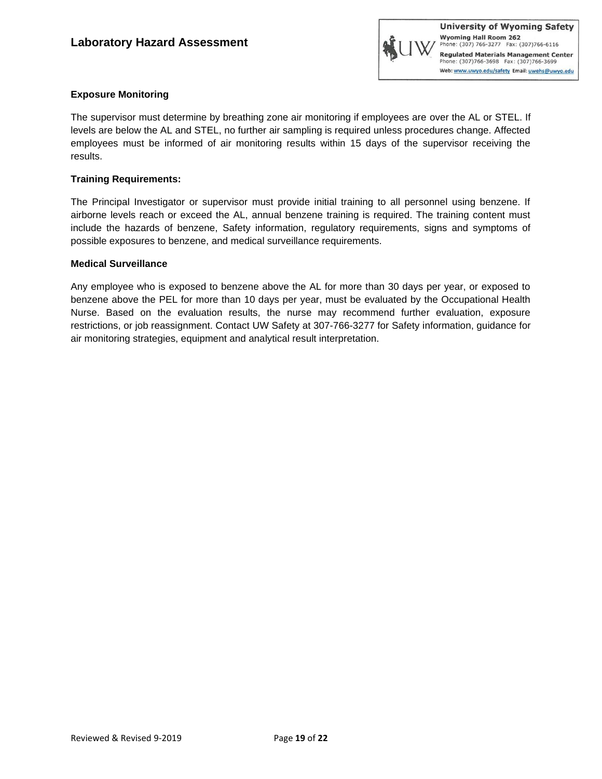

#### **Exposure Monitoring**

The supervisor must determine by breathing zone air monitoring if employees are over the AL or STEL. If levels are below the AL and STEL, no further air sampling is required unless procedures change. Affected employees must be informed of air monitoring results within 15 days of the supervisor receiving the results.

#### **Training Requirements:**

The Principal Investigator or supervisor must provide initial training to all personnel using benzene. If airborne levels reach or exceed the AL, annual benzene training is required. The training content must include the hazards of benzene, Safety information, regulatory requirements, signs and symptoms of possible exposures to benzene, and medical surveillance requirements.

#### **Medical Surveillance**

Any employee who is exposed to benzene above the AL for more than 30 days per year, or exposed to benzene above the PEL for more than 10 days per year, must be evaluated by the Occupational Health Nurse. Based on the evaluation results, the nurse may recommend further evaluation, exposure restrictions, or job reassignment. Contact UW Safety at 307-766-3277 for Safety information, guidance for air monitoring strategies, equipment and analytical result interpretation.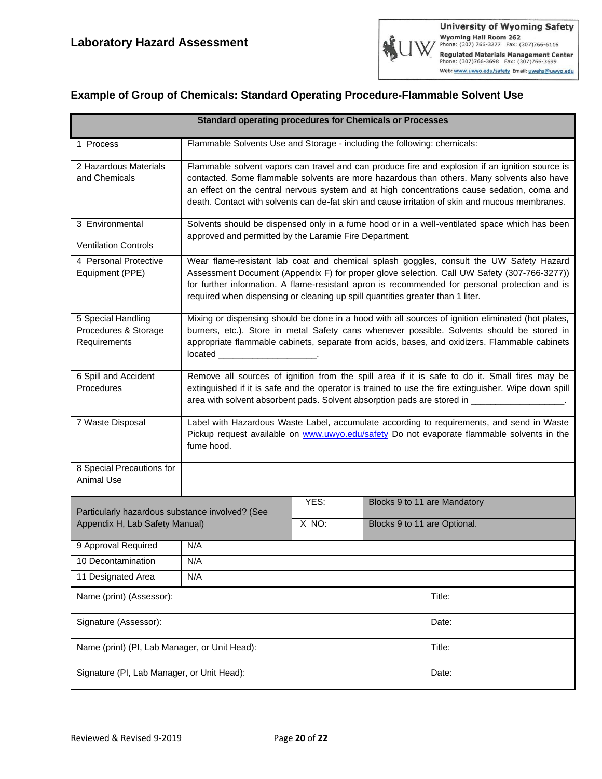### **Example of Group of Chemicals: Standard Operating Procedure-Flammable Solvent Use**

| <b>Standard operating procedures for Chemicals or Processes</b>                   |                                                                                                                                                                                                                                                                                                                                                                                                 |                 |                                                                          |
|-----------------------------------------------------------------------------------|-------------------------------------------------------------------------------------------------------------------------------------------------------------------------------------------------------------------------------------------------------------------------------------------------------------------------------------------------------------------------------------------------|-----------------|--------------------------------------------------------------------------|
| 1 Process                                                                         |                                                                                                                                                                                                                                                                                                                                                                                                 |                 | Flammable Solvents Use and Storage - including the following: chemicals: |
| 2 Hazardous Materials<br>and Chemicals                                            | Flammable solvent vapors can travel and can produce fire and explosion if an ignition source is<br>contacted. Some flammable solvents are more hazardous than others. Many solvents also have<br>an effect on the central nervous system and at high concentrations cause sedation, coma and<br>death. Contact with solvents can de-fat skin and cause irritation of skin and mucous membranes. |                 |                                                                          |
| 3 Environmental<br><b>Ventilation Controls</b>                                    | Solvents should be dispensed only in a fume hood or in a well-ventilated space which has been<br>approved and permitted by the Laramie Fire Department.                                                                                                                                                                                                                                         |                 |                                                                          |
| 4 Personal Protective<br>Equipment (PPE)                                          | Wear flame-resistant lab coat and chemical splash goggles, consult the UW Safety Hazard<br>Assessment Document (Appendix F) for proper glove selection. Call UW Safety (307-766-3277))<br>for further information. A flame-resistant apron is recommended for personal protection and is<br>required when dispensing or cleaning up spill quantities greater than 1 liter.                      |                 |                                                                          |
| 5 Special Handling<br>Procedures & Storage<br>Requirements                        | Mixing or dispensing should be done in a hood with all sources of ignition eliminated (hot plates,<br>burners, etc.). Store in metal Safety cans whenever possible. Solvents should be stored in<br>appropriate flammable cabinets, separate from acids, bases, and oxidizers. Flammable cabinets<br>located _____________________                                                              |                 |                                                                          |
| 6 Spill and Accident<br>Procedures                                                | Remove all sources of ignition from the spill area if it is safe to do it. Small fires may be<br>extinguished if it is safe and the operator is trained to use the fire extinguisher. Wipe down spill<br>area with solvent absorbent pads. Solvent absorption pads are stored in _________                                                                                                      |                 |                                                                          |
| 7 Waste Disposal                                                                  | Label with Hazardous Waste Label, accumulate according to requirements, and send in Waste<br>Pickup request available on www.uwyo.edu/safety Do not evaporate flammable solvents in the<br>fume hood.                                                                                                                                                                                           |                 |                                                                          |
| 8 Special Precautions for<br><b>Animal Use</b>                                    |                                                                                                                                                                                                                                                                                                                                                                                                 |                 |                                                                          |
| Particularly hazardous substance involved? (See<br>Appendix H, Lab Safety Manual) |                                                                                                                                                                                                                                                                                                                                                                                                 | YES:<br>$X$ NO: | Blocks 9 to 11 are Mandatory<br>Blocks 9 to 11 are Optional.             |
| 9 Approval Required                                                               | N/A                                                                                                                                                                                                                                                                                                                                                                                             |                 |                                                                          |
| 10 Decontamination                                                                | N/A                                                                                                                                                                                                                                                                                                                                                                                             |                 |                                                                          |
| 11 Designated Area                                                                | N/A                                                                                                                                                                                                                                                                                                                                                                                             |                 |                                                                          |
| Name (print) (Assessor):                                                          |                                                                                                                                                                                                                                                                                                                                                                                                 |                 | Title:                                                                   |
| Signature (Assessor):                                                             |                                                                                                                                                                                                                                                                                                                                                                                                 |                 | Date:                                                                    |
| Name (print) (PI, Lab Manager, or Unit Head):                                     |                                                                                                                                                                                                                                                                                                                                                                                                 |                 | Title:                                                                   |
| Signature (PI, Lab Manager, or Unit Head):                                        |                                                                                                                                                                                                                                                                                                                                                                                                 |                 | Date:                                                                    |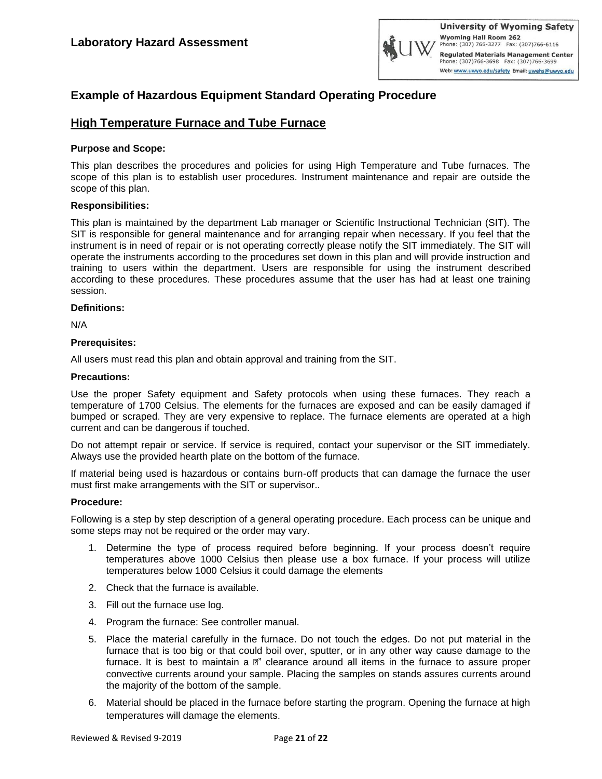

### **Example of Hazardous Equipment Standard Operating Procedure**

#### **High Temperature Furnace and Tube Furnace**

#### **Purpose and Scope:**

This plan describes the procedures and policies for using High Temperature and Tube furnaces. The scope of this plan is to establish user procedures. Instrument maintenance and repair are outside the scope of this plan.

#### **Responsibilities:**

This plan is maintained by the department Lab manager or Scientific Instructional Technician (SIT). The SIT is responsible for general maintenance and for arranging repair when necessary. If you feel that the instrument is in need of repair or is not operating correctly please notify the SIT immediately. The SIT will operate the instruments according to the procedures set down in this plan and will provide instruction and training to users within the department. Users are responsible for using the instrument described according to these procedures. These procedures assume that the user has had at least one training session.

#### **Definitions:**

N/A

#### **Prerequisites:**

All users must read this plan and obtain approval and training from the SIT.

#### **Precautions:**

Use the proper Safety equipment and Safety protocols when using these furnaces. They reach a temperature of 1700 Celsius. The elements for the furnaces are exposed and can be easily damaged if bumped or scraped. They are very expensive to replace. The furnace elements are operated at a high current and can be dangerous if touched.

Do not attempt repair or service. If service is required, contact your supervisor or the SIT immediately. Always use the provided hearth plate on the bottom of the furnace.

If material being used is hazardous or contains burn-off products that can damage the furnace the user must first make arrangements with the SIT or supervisor..

#### **Procedure:**

Following is a step by step description of a general operating procedure. Each process can be unique and some steps may not be required or the order may vary.

- 1. Determine the type of process required before beginning. If your process doesn't require temperatures above 1000 Celsius then please use a box furnace. If your process will utilize temperatures below 1000 Celsius it could damage the elements
- 2. Check that the furnace is available.
- 3. Fill out the furnace use log.
- 4. Program the furnace: See controller manual.
- 5. Place the material carefully in the furnace. Do not touch the edges. Do not put material in the furnace that is too big or that could boil over, sputter, or in any other way cause damage to the furnace. It is best to maintain a  $\mathbb{Z}^n$  clearance around all items in the furnace to assure proper convective currents around your sample. Placing the samples on stands assures currents around the majority of the bottom of the sample.
- 6. Material should be placed in the furnace before starting the program. Opening the furnace at high temperatures will damage the elements.